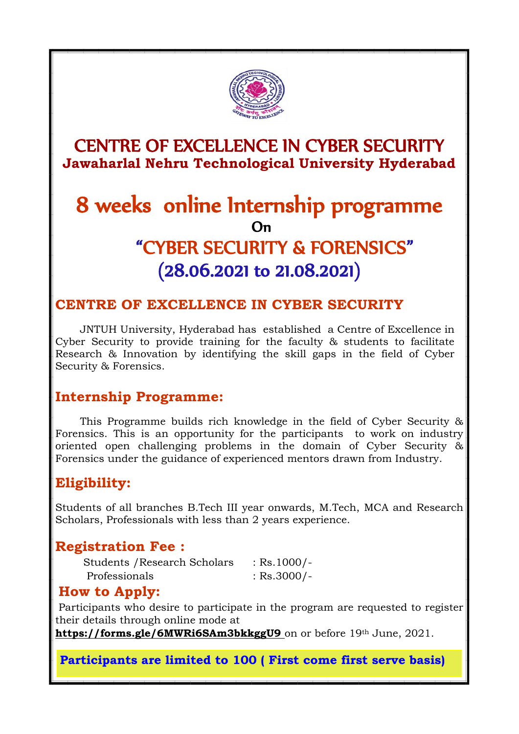

## CENTRE OF EXCELLENCE IN CYBER SECURITY **Jawaharlal Nehru Technological University Hyderabad**

# 8 weeks online Internship programme On "CYBER SECURITY & FORENSICS" (28.06.2021 to 21.08.2021)

## **CENTRE OF EXCELLENCE IN CYBER SECURITY**

JNTUH University, Hyderabad has established a Centre of Excellence in Cyber Security to provide training for the faculty & students to facilitate Research & Innovation by identifying the skill gaps in the field of Cyber Security & Forensics.

## **Internship Programme:**

This Programme builds rich knowledge in the field of Cyber Security & Forensics. This is an opportunity for the participants to work on industry oriented open challenging problems in the domain of Cyber Security & Forensics under the guidance of experienced mentors drawn from Industry.

## **Eligibility:**

Students of all branches B.Tech III year onwards, M.Tech, MCA and Research Scholars, Professionals with less than 2 years experience.

### **Registration Fee :**

| Students / Research Scholars | : Rs.1000/-   |
|------------------------------|---------------|
| Professionals                | : $Rs.3000/-$ |

## **How to Apply:**

Participants who desire to participate in the program are requested to register their details through online mode at

**https://forms.gle/6MWRi6SAm3bkkggU9** on or before 19th June, 2021.

**Participants are limited to 100 ( First come first serve basis)**